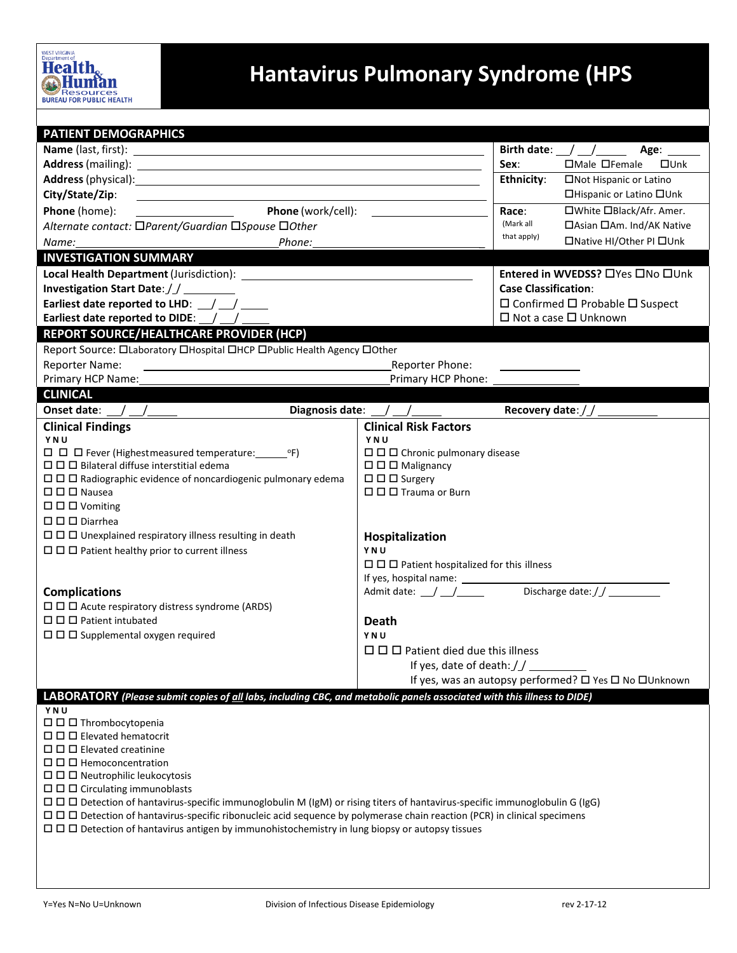

## **Hantavirus Pulmonary Syndrome (HPS**

| <b>PATIENT DEMOGRAPHICS</b>                                                                                                                                                                                                          |                                                                                                                                                                                                                                                                                                                                                                                                             |                              |                                                                                                                       |  |  |  |  |
|--------------------------------------------------------------------------------------------------------------------------------------------------------------------------------------------------------------------------------------|-------------------------------------------------------------------------------------------------------------------------------------------------------------------------------------------------------------------------------------------------------------------------------------------------------------------------------------------------------------------------------------------------------------|------------------------------|-----------------------------------------------------------------------------------------------------------------------|--|--|--|--|
|                                                                                                                                                                                                                                      |                                                                                                                                                                                                                                                                                                                                                                                                             |                              |                                                                                                                       |  |  |  |  |
|                                                                                                                                                                                                                                      |                                                                                                                                                                                                                                                                                                                                                                                                             | Sex:                         | Birth date: $\angle$ $\angle$ $\angle$<br>Age: $\overline{\phantom{a}}$<br>$\Box$ Male $\Box$ Female<br>$\square$ Unk |  |  |  |  |
| Address (mailing): <u>contract and a series of the series of the series of the series of the series of the series of the series of the series of the series of the series of the series of the series of the series of the serie</u> |                                                                                                                                                                                                                                                                                                                                                                                                             |                              |                                                                                                                       |  |  |  |  |
|                                                                                                                                                                                                                                      |                                                                                                                                                                                                                                                                                                                                                                                                             |                              | □Not Hispanic or Latino                                                                                               |  |  |  |  |
| City/State/Zip:                                                                                                                                                                                                                      |                                                                                                                                                                                                                                                                                                                                                                                                             |                              | □Hispanic or Latino □Unk                                                                                              |  |  |  |  |
| Phone (work/cell):<br>Phone (home):                                                                                                                                                                                                  |                                                                                                                                                                                                                                                                                                                                                                                                             |                              | □White □Black/Afr. Amer.                                                                                              |  |  |  |  |
| Alternate contact: □Parent/Guardian □Spouse □Other                                                                                                                                                                                   |                                                                                                                                                                                                                                                                                                                                                                                                             | (Mark all<br>that apply)     | □ Asian □ Am. Ind/AK Native                                                                                           |  |  |  |  |
| Phone:<br>Name:                                                                                                                                                                                                                      |                                                                                                                                                                                                                                                                                                                                                                                                             |                              | □Native HI/Other PI □Unk                                                                                              |  |  |  |  |
| <b>INVESTIGATION SUMMARY</b>                                                                                                                                                                                                         |                                                                                                                                                                                                                                                                                                                                                                                                             |                              |                                                                                                                       |  |  |  |  |
| Local Health Department (Jurisdiction): Nocal Health Department (Jurisdiction):                                                                                                                                                      |                                                                                                                                                                                                                                                                                                                                                                                                             |                              | Entered in WVEDSS? □ Yes □ No □ Unk                                                                                   |  |  |  |  |
| Investigation Start Date: / /                                                                                                                                                                                                        |                                                                                                                                                                                                                                                                                                                                                                                                             |                              | <b>Case Classification:</b>                                                                                           |  |  |  |  |
| Earliest date reported to LHD: $\angle$                                                                                                                                                                                              |                                                                                                                                                                                                                                                                                                                                                                                                             |                              | $\Box$ Confirmed $\Box$ Probable $\Box$ Suspect                                                                       |  |  |  |  |
| Earliest date reported to DIDE: $\angle$ $\angle$                                                                                                                                                                                    |                                                                                                                                                                                                                                                                                                                                                                                                             |                              | $\Box$ Not a case $\Box$ Unknown                                                                                      |  |  |  |  |
| REPORT SOURCE/HEALTHCARE PROVIDER (HCP)                                                                                                                                                                                              |                                                                                                                                                                                                                                                                                                                                                                                                             |                              |                                                                                                                       |  |  |  |  |
| Report Source: OLaboratory OHospital OHCP OPublic Health Agency OOther                                                                                                                                                               |                                                                                                                                                                                                                                                                                                                                                                                                             |                              |                                                                                                                       |  |  |  |  |
| <b>Reporter Name:</b><br>Reporter Phone:                                                                                                                                                                                             |                                                                                                                                                                                                                                                                                                                                                                                                             |                              |                                                                                                                       |  |  |  |  |
| Primary HCP Name:                                                                                                                                                                                                                    | Primary HCP Phone:                                                                                                                                                                                                                                                                                                                                                                                          |                              |                                                                                                                       |  |  |  |  |
| <b>CLINICAL</b>                                                                                                                                                                                                                      |                                                                                                                                                                                                                                                                                                                                                                                                             |                              |                                                                                                                       |  |  |  |  |
| Onset date:<br>Diagnosis date: / /                                                                                                                                                                                                   |                                                                                                                                                                                                                                                                                                                                                                                                             | Recovery date: $\frac{1}{2}$ |                                                                                                                       |  |  |  |  |
| <b>Clinical Findings</b>                                                                                                                                                                                                             | <b>Clinical Risk Factors</b>                                                                                                                                                                                                                                                                                                                                                                                |                              |                                                                                                                       |  |  |  |  |
| YNU                                                                                                                                                                                                                                  | YNU                                                                                                                                                                                                                                                                                                                                                                                                         |                              |                                                                                                                       |  |  |  |  |
|                                                                                                                                                                                                                                      | $\Box$ $\Box$ Chronic pulmonary disease                                                                                                                                                                                                                                                                                                                                                                     |                              |                                                                                                                       |  |  |  |  |
| $\Box$ $\Box$ Bilateral diffuse interstitial edema                                                                                                                                                                                   | $\square$ $\square$ $\square$ Malignancy                                                                                                                                                                                                                                                                                                                                                                    |                              |                                                                                                                       |  |  |  |  |
| $\Box$ $\Box$ $\Box$ Surgery<br>$\Box$ $\Box$ Radiographic evidence of noncardiogenic pulmonary edema                                                                                                                                |                                                                                                                                                                                                                                                                                                                                                                                                             |                              |                                                                                                                       |  |  |  |  |
| $\square$ $\square$ Nausea                                                                                                                                                                                                           | □ □ □ Trauma or Burn                                                                                                                                                                                                                                                                                                                                                                                        |                              |                                                                                                                       |  |  |  |  |
| $\Box$ $\Box$ $\Box$ Vomiting                                                                                                                                                                                                        |                                                                                                                                                                                                                                                                                                                                                                                                             |                              |                                                                                                                       |  |  |  |  |
| $\Box$ $\Box$ Diarrhea                                                                                                                                                                                                               | Hospitalization                                                                                                                                                                                                                                                                                                                                                                                             |                              |                                                                                                                       |  |  |  |  |
| $\Box$ $\Box$ Unexplained respiratory illness resulting in death                                                                                                                                                                     |                                                                                                                                                                                                                                                                                                                                                                                                             |                              |                                                                                                                       |  |  |  |  |
|                                                                                                                                                                                                                                      | $\Box$ $\Box$ Patient healthy prior to current illness<br>YNU                                                                                                                                                                                                                                                                                                                                               |                              |                                                                                                                       |  |  |  |  |
|                                                                                                                                                                                                                                      | $\Box$ $\Box$ Patient hospitalized for this illness                                                                                                                                                                                                                                                                                                                                                         |                              |                                                                                                                       |  |  |  |  |
| <b>Complications</b>                                                                                                                                                                                                                 | Admit date: $\frac{1}{\sqrt{1-\frac{1}{1-\frac{1}{1-\frac{1}{1-\frac{1}{1-\frac{1}{1-\frac{1}{1-\frac{1}{1-\frac{1}{1-\frac{1}{1-\frac{1}{1-\frac{1}{1-\frac{1}{1-\frac{1}{1-\frac{1}{1-\frac{1}{1-\frac{1}{1-\frac{1}{1-\frac{1}{1-\frac{1}{1-\frac{1}{1-\frac{1}{1-\frac{1}{1-\frac{1}{1-\frac{1}{1-\frac{1}{1-\frac{1}{1-\frac{1}{1-\frac{1}{1-\frac{1}{1-\frac{1}{1-\frac{1}{1-\frac{1}{1-\frac{1}{1-\$ |                              |                                                                                                                       |  |  |  |  |
| $\Box$ $\Box$ Acute respiratory distress syndrome (ARDS)                                                                                                                                                                             |                                                                                                                                                                                                                                                                                                                                                                                                             |                              |                                                                                                                       |  |  |  |  |
| $\Box$ $\Box$ Patient intubated                                                                                                                                                                                                      |                                                                                                                                                                                                                                                                                                                                                                                                             |                              |                                                                                                                       |  |  |  |  |
| $\Box$ $\Box$ Supplemental oxygen required                                                                                                                                                                                           | Death<br>YNU                                                                                                                                                                                                                                                                                                                                                                                                |                              |                                                                                                                       |  |  |  |  |
|                                                                                                                                                                                                                                      | $\Box$ $\Box$ Patient died due this illness                                                                                                                                                                                                                                                                                                                                                                 |                              |                                                                                                                       |  |  |  |  |
|                                                                                                                                                                                                                                      |                                                                                                                                                                                                                                                                                                                                                                                                             |                              |                                                                                                                       |  |  |  |  |
|                                                                                                                                                                                                                                      | If yes, date of death: //<br>If yes, was an autopsy performed? □ Yes □ No □ Unknown                                                                                                                                                                                                                                                                                                                         |                              |                                                                                                                       |  |  |  |  |
|                                                                                                                                                                                                                                      |                                                                                                                                                                                                                                                                                                                                                                                                             |                              |                                                                                                                       |  |  |  |  |
| LABORATORY (Please submit copies of all labs, including CBC, and metabolic panels associated with this illness to DIDE)                                                                                                              |                                                                                                                                                                                                                                                                                                                                                                                                             |                              |                                                                                                                       |  |  |  |  |
| YNU<br>$\Box$ $\Box$ Thrombocytopenia                                                                                                                                                                                                |                                                                                                                                                                                                                                                                                                                                                                                                             |                              |                                                                                                                       |  |  |  |  |
| $\Box$ $\Box$ Elevated hematocrit                                                                                                                                                                                                    |                                                                                                                                                                                                                                                                                                                                                                                                             |                              |                                                                                                                       |  |  |  |  |
| $\Box$ $\Box$ Elevated creatinine                                                                                                                                                                                                    |                                                                                                                                                                                                                                                                                                                                                                                                             |                              |                                                                                                                       |  |  |  |  |
| $\Box$ $\Box$ Hemoconcentration                                                                                                                                                                                                      |                                                                                                                                                                                                                                                                                                                                                                                                             |                              |                                                                                                                       |  |  |  |  |
| $\Box$ $\Box$ Neutrophilic leukocytosis                                                                                                                                                                                              |                                                                                                                                                                                                                                                                                                                                                                                                             |                              |                                                                                                                       |  |  |  |  |
| $\Box$ $\Box$ $\Box$ Circulating immunoblasts                                                                                                                                                                                        |                                                                                                                                                                                                                                                                                                                                                                                                             |                              |                                                                                                                       |  |  |  |  |
| $\Box$ $\Box$ Detection of hantavirus-specific immunoglobulin M (IgM) or rising titers of hantavirus-specific immunoglobulin G (IgG)                                                                                                 |                                                                                                                                                                                                                                                                                                                                                                                                             |                              |                                                                                                                       |  |  |  |  |
| □ □ □ Detection of hantavirus-specific ribonucleic acid sequence by polymerase chain reaction (PCR) in clinical specimens                                                                                                            |                                                                                                                                                                                                                                                                                                                                                                                                             |                              |                                                                                                                       |  |  |  |  |
| □ □ □ Detection of hantavirus antigen by immunohistochemistry in lung biopsy or autopsy tissues                                                                                                                                      |                                                                                                                                                                                                                                                                                                                                                                                                             |                              |                                                                                                                       |  |  |  |  |
|                                                                                                                                                                                                                                      |                                                                                                                                                                                                                                                                                                                                                                                                             |                              |                                                                                                                       |  |  |  |  |
|                                                                                                                                                                                                                                      |                                                                                                                                                                                                                                                                                                                                                                                                             |                              |                                                                                                                       |  |  |  |  |
|                                                                                                                                                                                                                                      |                                                                                                                                                                                                                                                                                                                                                                                                             |                              |                                                                                                                       |  |  |  |  |